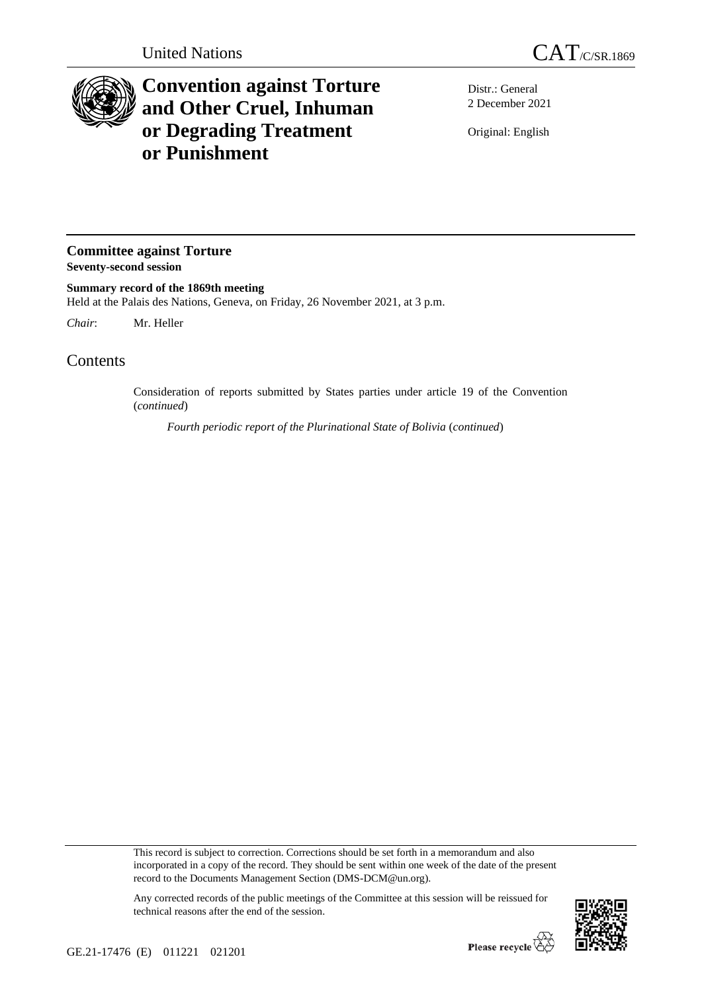

## **Convention against Torture and Other Cruel, Inhuman or Degrading Treatment or Punishment**

Distr.: General 2 December 2021

Original: English

## **Committee against Torture Seventy-second session**

**Summary record of the 1869th meeting** Held at the Palais des Nations, Geneva, on Friday, 26 November 2021, at 3 p.m.

*Chair*: Mr. Heller

## Contents

Consideration of reports submitted by States parties under article 19 of the Convention (*continued*)

*Fourth periodic report of the Plurinational State of Bolivia* (*continued*)

This record is subject to correction. Corrections should be set forth in a memorandum and also incorporated in a copy of the record. They should be sent within one week of the date of the present record to the Documents Management Section (DMS-DCM@un.org).



Any corrected records of the public meetings of the Committee at this session will be reissued for technical reasons after the end of the session.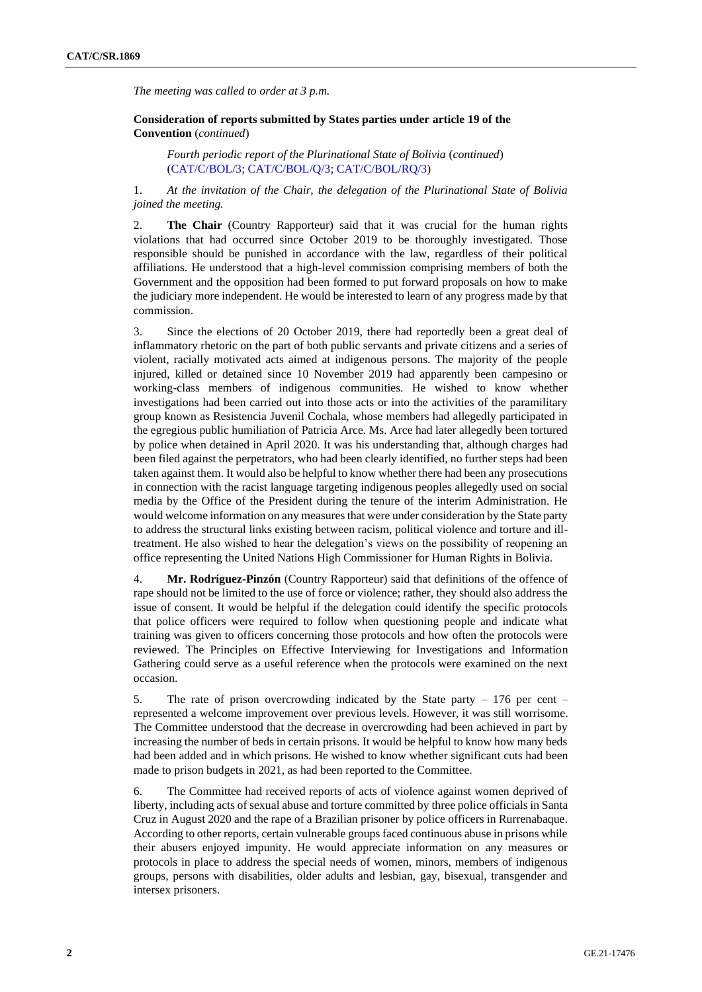*The meeting was called to order at 3 p.m.*

**Consideration of reports submitted by States parties under article 19 of the Convention** (*continued*)

*Fourth periodic report of the Plurinational State of Bolivia* (*continued*) [\(CAT/C/BOL/3;](http://undocs.org/en/CAT/C/BOL/3) [CAT/C/BOL/Q/3;](http://undocs.org/en/CAT/C/BOL/Q/3) [CAT/C/BOL/RQ/3\)](http://undocs.org/en/CAT/C/BOL/RQ/3)

1. *At the invitation of the Chair, the delegation of the Plurinational State of Bolivia joined the meeting.*

2. **The Chair** (Country Rapporteur) said that it was crucial for the human rights violations that had occurred since October 2019 to be thoroughly investigated. Those responsible should be punished in accordance with the law, regardless of their political affiliations. He understood that a high-level commission comprising members of both the Government and the opposition had been formed to put forward proposals on how to make the judiciary more independent. He would be interested to learn of any progress made by that commission.

3. Since the elections of 20 October 2019, there had reportedly been a great deal of inflammatory rhetoric on the part of both public servants and private citizens and a series of violent, racially motivated acts aimed at indigenous persons. The majority of the people injured, killed or detained since 10 November 2019 had apparently been campesino or working-class members of indigenous communities. He wished to know whether investigations had been carried out into those acts or into the activities of the paramilitary group known as Resistencia Juvenil Cochala, whose members had allegedly participated in the egregious public humiliation of Patricia Arce. Ms. Arce had later allegedly been tortured by police when detained in April 2020. It was his understanding that, although charges had been filed against the perpetrators, who had been clearly identified, no further steps had been taken against them. It would also be helpful to know whether there had been any prosecutions in connection with the racist language targeting indigenous peoples allegedly used on social media by the Office of the President during the tenure of the interim Administration. He would welcome information on any measures that were under consideration by the State party to address the structural links existing between racism, political violence and torture and illtreatment. He also wished to hear the delegation's views on the possibility of reopening an office representing the United Nations High Commissioner for Human Rights in Bolivia.

4. **Mr. Rodríguez-Pinzón** (Country Rapporteur) said that definitions of the offence of rape should not be limited to the use of force or violence; rather, they should also address the issue of consent. It would be helpful if the delegation could identify the specific protocols that police officers were required to follow when questioning people and indicate what training was given to officers concerning those protocols and how often the protocols were reviewed. The Principles on Effective Interviewing for Investigations and Information Gathering could serve as a useful reference when the protocols were examined on the next occasion.

5. The rate of prison overcrowding indicated by the State party – 176 per cent – represented a welcome improvement over previous levels. However, it was still worrisome. The Committee understood that the decrease in overcrowding had been achieved in part by increasing the number of beds in certain prisons. It would be helpful to know how many beds had been added and in which prisons. He wished to know whether significant cuts had been made to prison budgets in 2021, as had been reported to the Committee.

6. The Committee had received reports of acts of violence against women deprived of liberty, including acts of sexual abuse and torture committed by three police officials in Santa Cruz in August 2020 and the rape of a Brazilian prisoner by police officers in Rurrenabaque. According to other reports, certain vulnerable groups faced continuous abuse in prisons while their abusers enjoyed impunity. He would appreciate information on any measures or protocols in place to address the special needs of women, minors, members of indigenous groups, persons with disabilities, older adults and lesbian, gay, bisexual, transgender and intersex prisoners.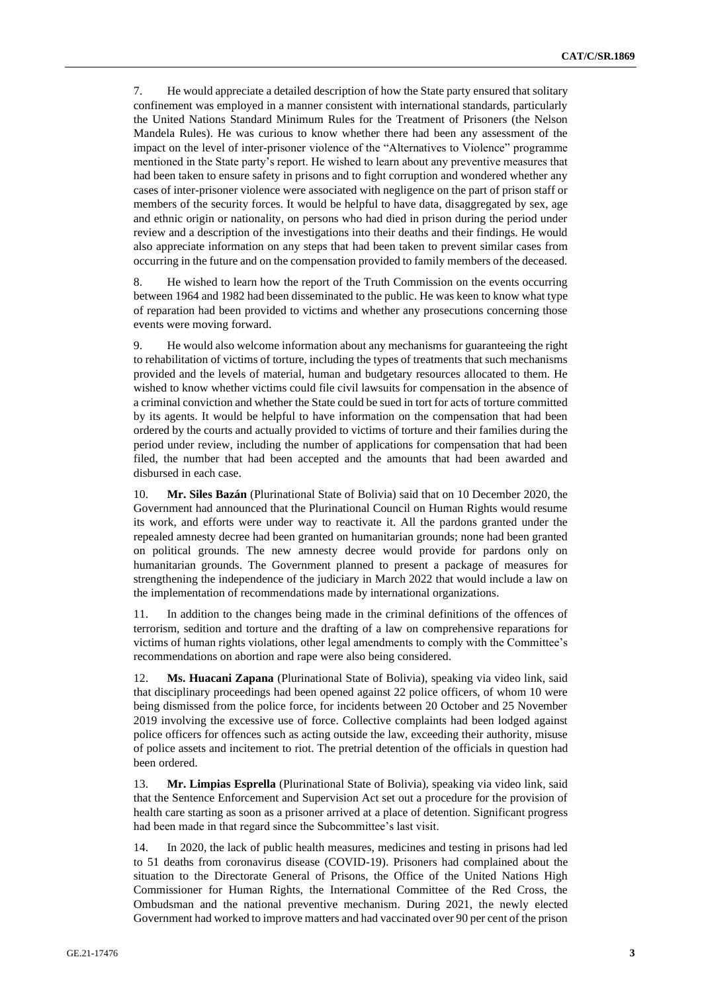7. He would appreciate a detailed description of how the State party ensured that solitary confinement was employed in a manner consistent with international standards, particularly the United Nations Standard Minimum Rules for the Treatment of Prisoners (the Nelson Mandela Rules). He was curious to know whether there had been any assessment of the impact on the level of inter-prisoner violence of the "Alternatives to Violence" programme mentioned in the State party's report. He wished to learn about any preventive measures that had been taken to ensure safety in prisons and to fight corruption and wondered whether any cases of inter-prisoner violence were associated with negligence on the part of prison staff or members of the security forces. It would be helpful to have data, disaggregated by sex, age and ethnic origin or nationality, on persons who had died in prison during the period under review and a description of the investigations into their deaths and their findings. He would also appreciate information on any steps that had been taken to prevent similar cases from occurring in the future and on the compensation provided to family members of the deceased.

8. He wished to learn how the report of the Truth Commission on the events occurring between 1964 and 1982 had been disseminated to the public. He was keen to know what type of reparation had been provided to victims and whether any prosecutions concerning those events were moving forward.

9. He would also welcome information about any mechanisms for guaranteeing the right to rehabilitation of victims of torture, including the types of treatments that such mechanisms provided and the levels of material, human and budgetary resources allocated to them. He wished to know whether victims could file civil lawsuits for compensation in the absence of a criminal conviction and whether the State could be sued in tort for acts of torture committed by its agents. It would be helpful to have information on the compensation that had been ordered by the courts and actually provided to victims of torture and their families during the period under review, including the number of applications for compensation that had been filed, the number that had been accepted and the amounts that had been awarded and disbursed in each case.

10. **Mr. Siles Bazán** (Plurinational State of Bolivia) said that on 10 December 2020, the Government had announced that the Plurinational Council on Human Rights would resume its work, and efforts were under way to reactivate it. All the pardons granted under the repealed amnesty decree had been granted on humanitarian grounds; none had been granted on political grounds. The new amnesty decree would provide for pardons only on humanitarian grounds. The Government planned to present a package of measures for strengthening the independence of the judiciary in March 2022 that would include a law on the implementation of recommendations made by international organizations.

11. In addition to the changes being made in the criminal definitions of the offences of terrorism, sedition and torture and the drafting of a law on comprehensive reparations for victims of human rights violations, other legal amendments to comply with the Committee's recommendations on abortion and rape were also being considered.

12. **Ms. Huacani Zapana** (Plurinational State of Bolivia), speaking via video link, said that disciplinary proceedings had been opened against 22 police officers, of whom 10 were being dismissed from the police force, for incidents between 20 October and 25 November 2019 involving the excessive use of force. Collective complaints had been lodged against police officers for offences such as acting outside the law, exceeding their authority, misuse of police assets and incitement to riot. The pretrial detention of the officials in question had been ordered.

13. **Mr. Limpias Esprella** (Plurinational State of Bolivia), speaking via video link, said that the Sentence Enforcement and Supervision Act set out a procedure for the provision of health care starting as soon as a prisoner arrived at a place of detention. Significant progress had been made in that regard since the Subcommittee's last visit.

14. In 2020, the lack of public health measures, medicines and testing in prisons had led to 51 deaths from coronavirus disease (COVID-19). Prisoners had complained about the situation to the Directorate General of Prisons, the Office of the United Nations High Commissioner for Human Rights, the International Committee of the Red Cross, the Ombudsman and the national preventive mechanism. During 2021, the newly elected Government had worked to improve matters and had vaccinated over 90 per cent of the prison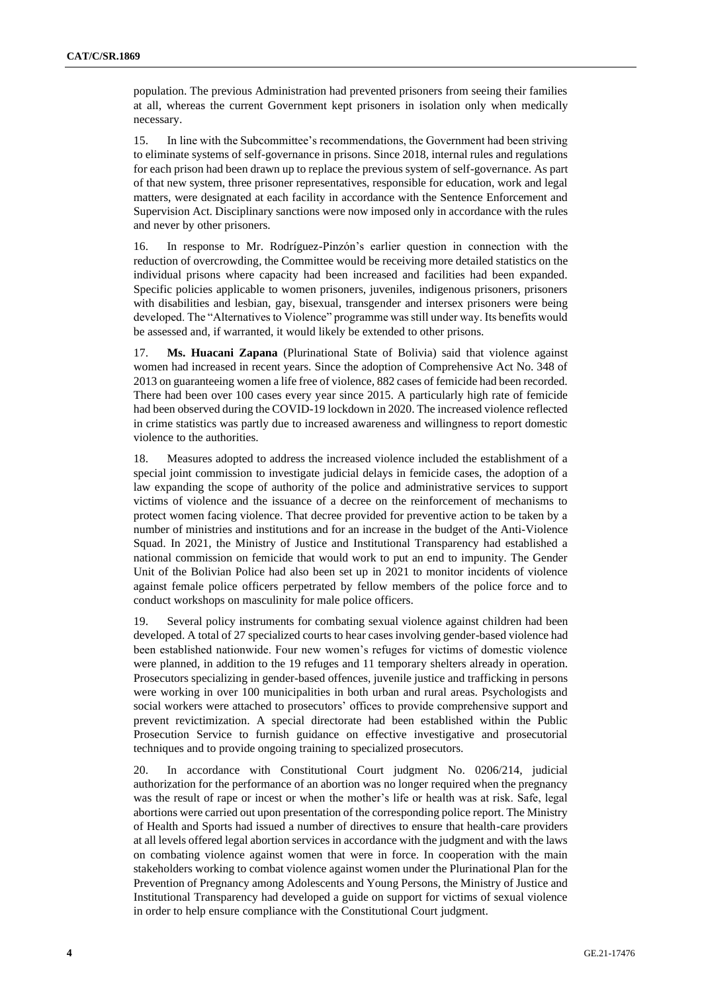population. The previous Administration had prevented prisoners from seeing their families at all, whereas the current Government kept prisoners in isolation only when medically necessary.

15. In line with the Subcommittee's recommendations, the Government had been striving to eliminate systems of self-governance in prisons. Since 2018, internal rules and regulations for each prison had been drawn up to replace the previous system of self-governance. As part of that new system, three prisoner representatives, responsible for education, work and legal matters, were designated at each facility in accordance with the Sentence Enforcement and Supervision Act. Disciplinary sanctions were now imposed only in accordance with the rules and never by other prisoners.

16. In response to Mr. Rodríguez-Pinzón's earlier question in connection with the reduction of overcrowding, the Committee would be receiving more detailed statistics on the individual prisons where capacity had been increased and facilities had been expanded. Specific policies applicable to women prisoners, juveniles, indigenous prisoners, prisoners with disabilities and lesbian, gay, bisexual, transgender and intersex prisoners were being developed. The "Alternatives to Violence" programme was still under way. Its benefits would be assessed and, if warranted, it would likely be extended to other prisons.

17. **Ms. Huacani Zapana** (Plurinational State of Bolivia) said that violence against women had increased in recent years. Since the adoption of Comprehensive Act No. 348 of 2013 on guaranteeing women a life free of violence, 882 cases of femicide had been recorded. There had been over 100 cases every year since 2015. A particularly high rate of femicide had been observed during the COVID-19 lockdown in 2020. The increased violence reflected in crime statistics was partly due to increased awareness and willingness to report domestic violence to the authorities.

18. Measures adopted to address the increased violence included the establishment of a special joint commission to investigate judicial delays in femicide cases, the adoption of a law expanding the scope of authority of the police and administrative services to support victims of violence and the issuance of a decree on the reinforcement of mechanisms to protect women facing violence. That decree provided for preventive action to be taken by a number of ministries and institutions and for an increase in the budget of the Anti-Violence Squad. In 2021, the Ministry of Justice and Institutional Transparency had established a national commission on femicide that would work to put an end to impunity. The Gender Unit of the Bolivian Police had also been set up in 2021 to monitor incidents of violence against female police officers perpetrated by fellow members of the police force and to conduct workshops on masculinity for male police officers.

19. Several policy instruments for combating sexual violence against children had been developed. A total of 27 specialized courts to hear cases involving gender-based violence had been established nationwide. Four new women's refuges for victims of domestic violence were planned, in addition to the 19 refuges and 11 temporary shelters already in operation. Prosecutors specializing in gender-based offences, juvenile justice and trafficking in persons were working in over 100 municipalities in both urban and rural areas. Psychologists and social workers were attached to prosecutors' offices to provide comprehensive support and prevent revictimization. A special directorate had been established within the Public Prosecution Service to furnish guidance on effective investigative and prosecutorial techniques and to provide ongoing training to specialized prosecutors.

20. In accordance with Constitutional Court judgment No. 0206/214, judicial authorization for the performance of an abortion was no longer required when the pregnancy was the result of rape or incest or when the mother's life or health was at risk. Safe, legal abortions were carried out upon presentation of the corresponding police report. The Ministry of Health and Sports had issued a number of directives to ensure that health-care providers at all levels offered legal abortion services in accordance with the judgment and with the laws on combating violence against women that were in force. In cooperation with the main stakeholders working to combat violence against women under the Plurinational Plan for the Prevention of Pregnancy among Adolescents and Young Persons, the Ministry of Justice and Institutional Transparency had developed a guide on support for victims of sexual violence in order to help ensure compliance with the Constitutional Court judgment.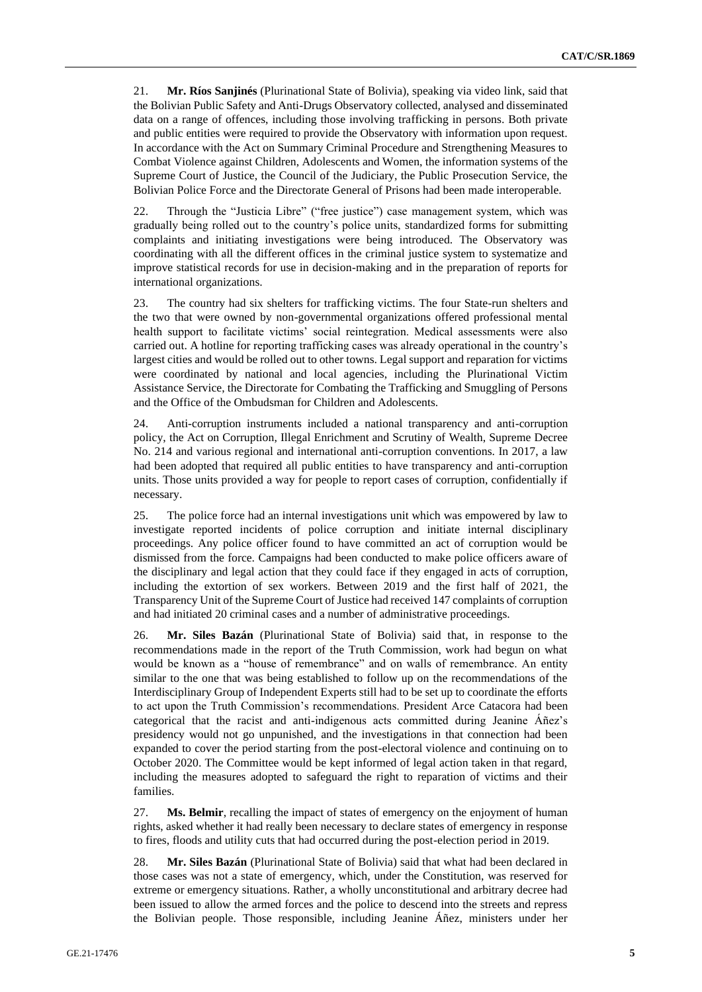21. **Mr. Ríos Sanjinés** (Plurinational State of Bolivia), speaking via video link, said that the Bolivian Public Safety and Anti-Drugs Observatory collected, analysed and disseminated data on a range of offences, including those involving trafficking in persons. Both private and public entities were required to provide the Observatory with information upon request. In accordance with the Act on Summary Criminal Procedure and Strengthening Measures to Combat Violence against Children, Adolescents and Women, the information systems of the Supreme Court of Justice, the Council of the Judiciary, the Public Prosecution Service, the Bolivian Police Force and the Directorate General of Prisons had been made interoperable.

22. Through the "Justicia Libre" ("free justice") case management system, which was gradually being rolled out to the country's police units, standardized forms for submitting complaints and initiating investigations were being introduced. The Observatory was coordinating with all the different offices in the criminal justice system to systematize and improve statistical records for use in decision-making and in the preparation of reports for international organizations.

23. The country had six shelters for trafficking victims. The four State-run shelters and the two that were owned by non-governmental organizations offered professional mental health support to facilitate victims' social reintegration. Medical assessments were also carried out. A hotline for reporting trafficking cases was already operational in the country's largest cities and would be rolled out to other towns. Legal support and reparation for victims were coordinated by national and local agencies, including the Plurinational Victim Assistance Service, the Directorate for Combating the Trafficking and Smuggling of Persons and the Office of the Ombudsman for Children and Adolescents.

24. Anti-corruption instruments included a national transparency and anti-corruption policy, the Act on Corruption, Illegal Enrichment and Scrutiny of Wealth, Supreme Decree No. 214 and various regional and international anti-corruption conventions. In 2017, a law had been adopted that required all public entities to have transparency and anti-corruption units. Those units provided a way for people to report cases of corruption, confidentially if necessary.

25. The police force had an internal investigations unit which was empowered by law to investigate reported incidents of police corruption and initiate internal disciplinary proceedings. Any police officer found to have committed an act of corruption would be dismissed from the force. Campaigns had been conducted to make police officers aware of the disciplinary and legal action that they could face if they engaged in acts of corruption, including the extortion of sex workers. Between 2019 and the first half of 2021, the Transparency Unit of the Supreme Court of Justice had received 147 complaints of corruption and had initiated 20 criminal cases and a number of administrative proceedings.

26. **Mr. Siles Bazán** (Plurinational State of Bolivia) said that, in response to the recommendations made in the report of the Truth Commission, work had begun on what would be known as a "house of remembrance" and on walls of remembrance. An entity similar to the one that was being established to follow up on the recommendations of the Interdisciplinary Group of Independent Experts still had to be set up to coordinate the efforts to act upon the Truth Commission's recommendations. President Arce Catacora had been categorical that the racist and anti-indigenous acts committed during Jeanine Áñez's presidency would not go unpunished, and the investigations in that connection had been expanded to cover the period starting from the post-electoral violence and continuing on to October 2020. The Committee would be kept informed of legal action taken in that regard, including the measures adopted to safeguard the right to reparation of victims and their families.

27. **Ms. Belmir**, recalling the impact of states of emergency on the enjoyment of human rights, asked whether it had really been necessary to declare states of emergency in response to fires, floods and utility cuts that had occurred during the post-election period in 2019.

28. **Mr. Siles Bazán** (Plurinational State of Bolivia) said that what had been declared in those cases was not a state of emergency, which, under the Constitution, was reserved for extreme or emergency situations. Rather, a wholly unconstitutional and arbitrary decree had been issued to allow the armed forces and the police to descend into the streets and repress the Bolivian people. Those responsible, including Jeanine Áñez, ministers under her